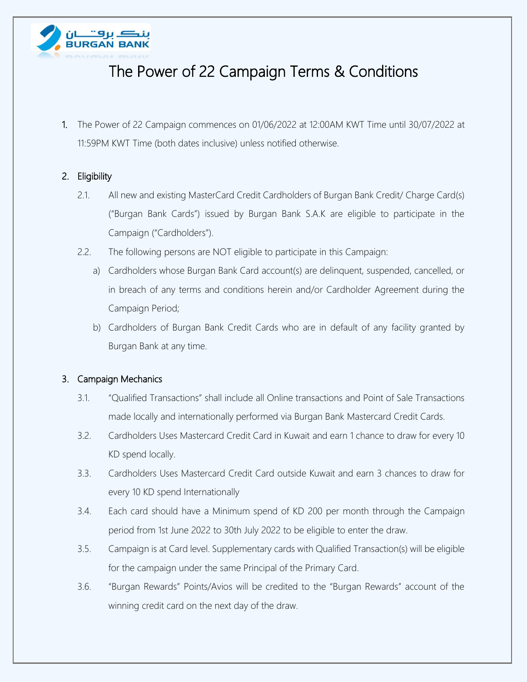

# The Power of 22 Campaign Terms & Conditions

1. The Power of 22 Campaign commences on 01/06/2022 at 12:00AM KWT Time until 30/07/2022 at 11:59PM KWT Time (both dates inclusive) unless notified otherwise.

### 2. Eligibility

- 2.1. All new and existing MasterCard Credit Cardholders of Burgan Bank Credit/ Charge Card(s) ("Burgan Bank Cards") issued by Burgan Bank S.A.K are eligible to participate in the Campaign ("Cardholders").
- 2.2. The following persons are NOT eligible to participate in this Campaign:
	- a) Cardholders whose Burgan Bank Card account(s) are delinquent, suspended, cancelled, or in breach of any terms and conditions herein and/or Cardholder Agreement during the Campaign Period;
	- b) Cardholders of Burgan Bank Credit Cards who are in default of any facility granted by Burgan Bank at any time.

### 3. Campaign Mechanics

- 3.1. "Qualified Transactions" shall include all Online transactions and Point of Sale Transactions made locally and internationally performed via Burgan Bank Mastercard Credit Cards.
- 3.2. Cardholders Uses Mastercard Credit Card in Kuwait and earn 1 chance to draw for every 10 KD spend locally.
- 3.3. Cardholders Uses Mastercard Credit Card outside Kuwait and earn 3 chances to draw for every 10 KD spend Internationally
- 3.4. Each card should have a Minimum spend of KD 200 per month through the Campaign period from 1st June 2022 to 30th July 2022 to be eligible to enter the draw.
- 3.5. Campaign is at Card level. Supplementary cards with Qualified Transaction(s) will be eligible for the campaign under the same Principal of the Primary Card.
- 3.6. "Burgan Rewards" Points/Avios will be credited to the "Burgan Rewards" account of the winning credit card on the next day of the draw.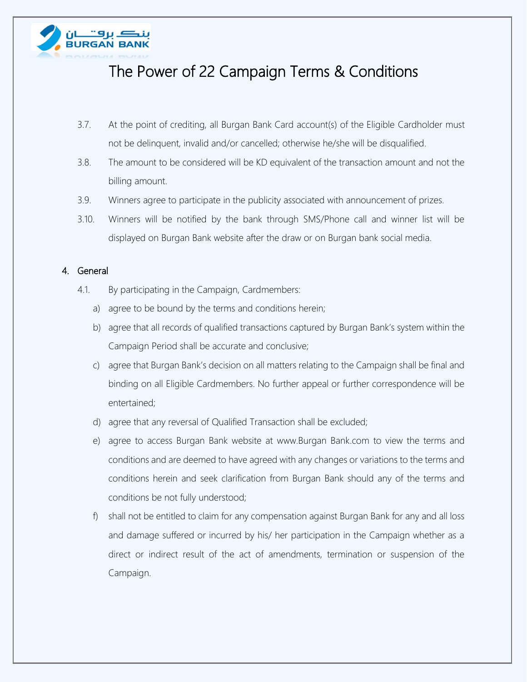

## The Power of 22 Campaign Terms & Conditions

- 3.7. At the point of crediting, all Burgan Bank Card account(s) of the Eligible Cardholder must not be delinquent, invalid and/or cancelled; otherwise he/she will be disqualified.
- 3.8. The amount to be considered will be KD equivalent of the transaction amount and not the billing amount.
- 3.9. Winners agree to participate in the publicity associated with announcement of prizes.
- 3.10. Winners will be notified by the bank through SMS/Phone call and winner list will be displayed on Burgan Bank website after the draw or on Burgan bank social media.

#### 4. General

- 4.1. By participating in the Campaign, Cardmembers:
	- a) agree to be bound by the terms and conditions herein;
	- b) agree that all records of qualified transactions captured by Burgan Bank's system within the Campaign Period shall be accurate and conclusive;
	- c) agree that Burgan Bank's decision on all matters relating to the Campaign shall be final and binding on all Eligible Cardmembers. No further appeal or further correspondence will be entertained;
	- d) agree that any reversal of Qualified Transaction shall be excluded;
	- e) agree to access Burgan Bank website at www.Burgan Bank.com to view the terms and conditions and are deemed to have agreed with any changes or variations to the terms and conditions herein and seek clarification from Burgan Bank should any of the terms and conditions be not fully understood;
	- f) shall not be entitled to claim for any compensation against Burgan Bank for any and all loss and damage suffered or incurred by his/ her participation in the Campaign whether as a direct or indirect result of the act of amendments, termination or suspension of the Campaign.